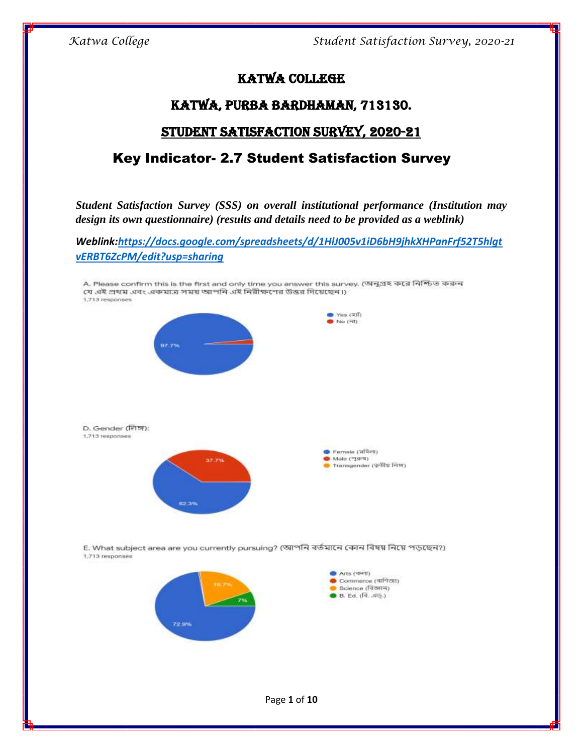# Katwa College

## Katwa, Purba Bardhaman, 713130.

# Student Satisfaction Survey, 2020-21

# Key Indicator- 2.7 Student Satisfaction Survey

*Student Satisfaction Survey (SSS) on overall institutional performance (Institution may design its own questionnaire) (results and details need to be provided as a weblink)*

*Weblink[:https://docs.google.com/spreadsheets/d/1HlJ005v1iD6bH9jhkXHPanFrf52T5hlgt](https://docs.google.com/spreadsheets/d/1HlJ005v1iD6bH9jhkXHPanFrf52T5hlgtvERBT6ZcPM/edit?usp=sharing) [vERBT6ZcPM/edit?usp=sharing](https://docs.google.com/spreadsheets/d/1HlJ005v1iD6bH9jhkXHPanFrf52T5hlgtvERBT6ZcPM/edit?usp=sharing)*

A. Please confirm this is the first and only time you answer this survey. (অনুগ্ৰহ করে নিশ্চিত করুন যে এই প্রথম এবং একমাত্র সময় আপনি এই নিরীক্ষণের উত্তর দিয়েছেন।) 1,713 responses Ves (SII)  $N = (N)$ D. Gender (লিঙ্গ): 1,713 responses Pernale (মহিলা) Male ("19%) 37.7% Transgender (छेडीप्त शिश) 62,39

E. What subject area are you currently pursuing? (আপনি বর্তমানে কোন বিষয় নিয়ে পড়ছেন?) 1,713 responses



Page **1** of **10**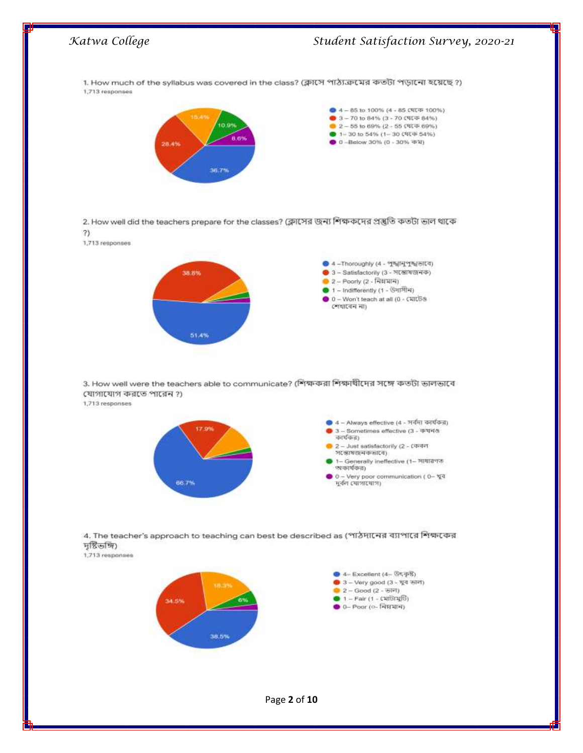

2. How well did the teachers prepare for the classes? (ক্লাসের জন্য শিক্ষকদের প্রস্তুতি কতটা ভাল থাকে  $)$ 

1,713 responses



3. How well were the teachers able to communicate? (শিক্ষকরা শিক্ষাখীদের সঙ্গে কতটা ভালভাবে যোগাযোগ করতে পারেন ?)

1,713 responses



4. The teacher's approach to teaching can best be described as (পাঠদানের ব্যাপারে শিক্ষকের দৃষ্টিভঙ্গি)

1,713 responses

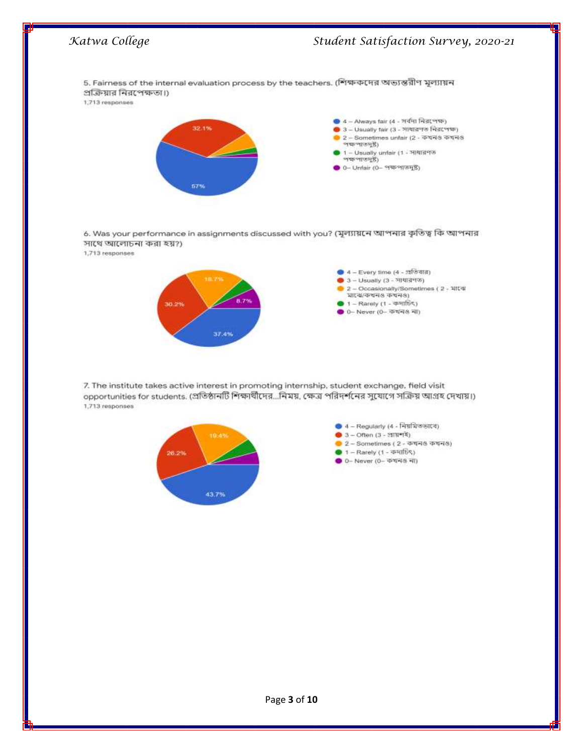

6. Was your performance in assignments discussed with you? (মূল্যায়নে আপনার কৃতিত্ব কি আপনার সাথে আলোচনা করা হয়?)

1,713 responses



7. The institute takes active interest in promoting internship, student exchange, field visit opportunities for students. (প্রতিষ্ঠানটি শিক্ষার্থীদের...নিময়, ক্ষেত্র পরিদর্শনের সুযোগে সক্রিয় আগ্রহ দেখায়।) 1,713 responses

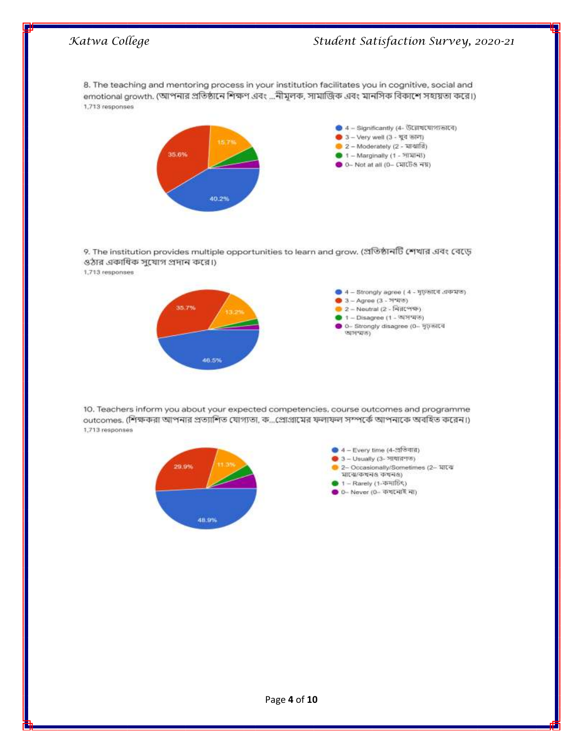8. The teaching and mentoring process in your institution facilitates you in cognitive, social and emotional growth. (আপনার প্রতিষ্ঠানে শিক্ষণ এবং ...নীমলক, সামাজিক এবং মানসিক বিকাশে সহায়তা করে।) 1,713 responses



9. The institution provides multiple opportunities to learn and grow. (প্ৰতিষ্ঠানটি শেখার এবং বেড়ে ওঠার একাধিক সুযোগ প্রদান করে।)

1,713 responses



10. Teachers inform you about your expected competencies, course outcomes and programme outcomes. (শিক্ষকরা আপনার প্রত্যাশিত যোগ্যতা, ক...প্রোগ্রামের ফলাফল সম্পর্কে আপনাকে অবহিত করেন।) 1,713 responses

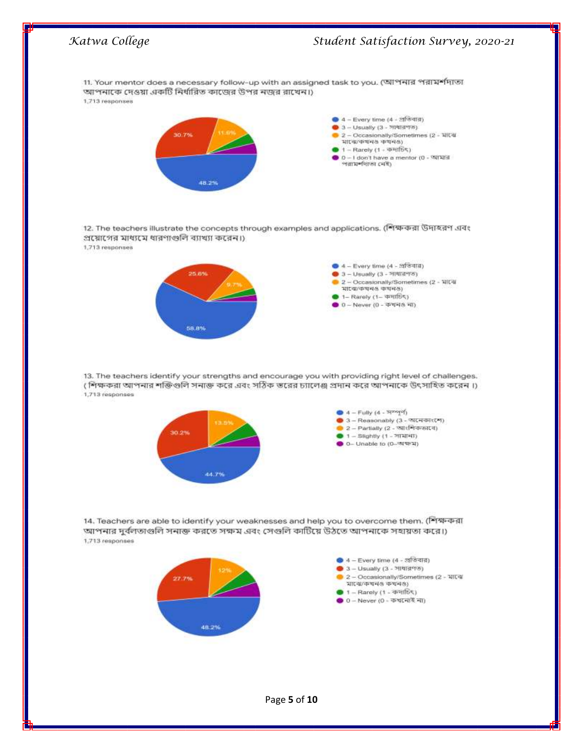



48.2%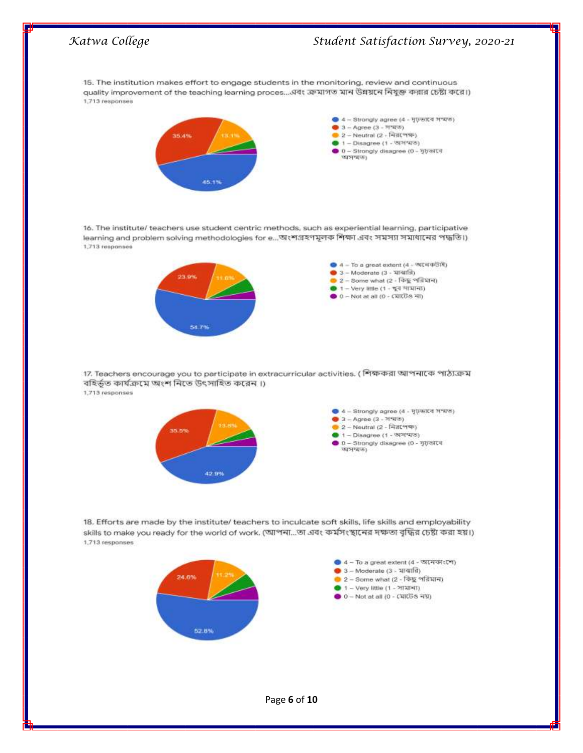# *Katwa College Student Satisfaction Survey, 2020-21* 15. The institution makes effort to engage students in the monitoring, review and continuous quality improvement of the teaching learning proces...এবং ক্রমাগত মান উন্নয়নে নিযুক্ত করার চেষ্টা করে।) 1,713 responses



16. The institute/ teachers use student centric methods, such as experiential learning, participative learning and problem solving methodologies for e...আংশগ্রহণমূলক শিক্ষা এবং সমস্যা সমাধানের পদ্ধতি।) 1,713 responses



17. Teachers encourage you to participate in extracurricular activities. (শিক্ষকরা আপনাকে পাঠ্যক্রম বহিৰ্ভূত কাৰ্যক্ৰমে অংশ নিতে উৎসাহিত করেন।) 1,713 responses



18. Efforts are made by the institute/ teachers to inculcate soft skills, life skills and employability skills to make you ready for the world of work. (আপনা...তা এবং কর্মসংস্থানের দক্ষতা বৃদ্ধির চেষ্টা করা হয়।) 1,713 responses



Page **6** of **10**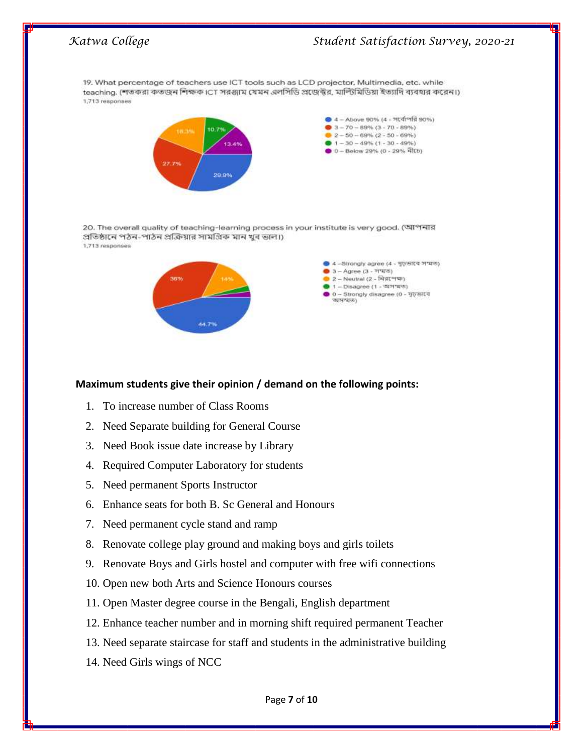

### **Maximum students give their opinion / demand on the following points:**

- 1. To increase number of Class Rooms
- 2. Need Separate building for General Course
- 3. Need Book issue date increase by Library
- 4. Required Computer Laboratory for students
- 5. Need permanent Sports Instructor
- 6. Enhance seats for both B. Sc General and Honours
- 7. Need permanent cycle stand and ramp
- 8. Renovate college play ground and making boys and girls toilets
- 9. Renovate Boys and Girls hostel and computer with free wifi connections
- 10. Open new both Arts and Science Honours courses
- 11. Open Master degree course in the Bengali, English department
- 12. Enhance teacher number and in morning shift required permanent Teacher
- 13. Need separate staircase for staff and students in the administrative building
- 14. Need Girls wings of NCC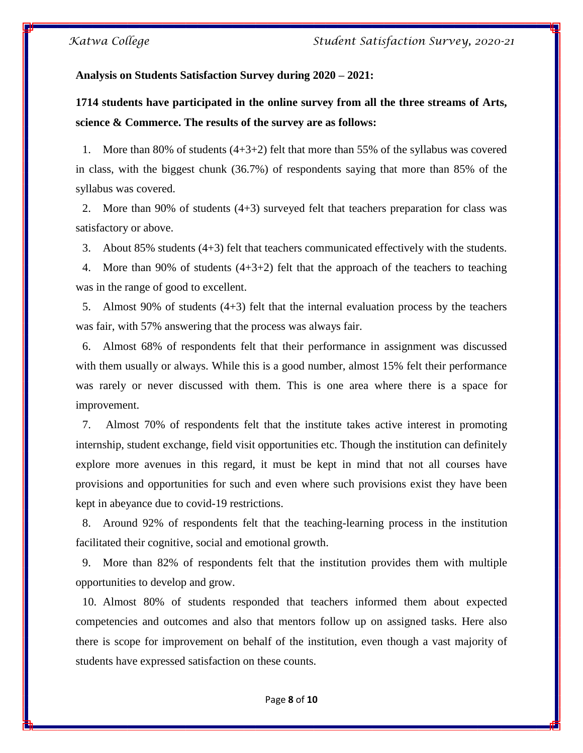### **Analysis on Students Satisfaction Survey during 2020 – 2021:**

**1714 students have participated in the online survey from all the three streams of Arts, science & Commerce. The results of the survey are as follows:**

1. More than 80% of students  $(4+3+2)$  felt that more than 55% of the syllabus was covered in class, with the biggest chunk (36.7%) of respondents saying that more than 85% of the syllabus was covered.

2. More than 90% of students (4+3) surveyed felt that teachers preparation for class was satisfactory or above.

3. About 85% students (4+3) felt that teachers communicated effectively with the students.

4. More than 90% of students (4+3+2) felt that the approach of the teachers to teaching was in the range of good to excellent.

5. Almost 90% of students (4+3) felt that the internal evaluation process by the teachers was fair, with 57% answering that the process was always fair.

6. Almost 68% of respondents felt that their performance in assignment was discussed with them usually or always. While this is a good number, almost 15% felt their performance was rarely or never discussed with them. This is one area where there is a space for improvement.

7. Almost 70% of respondents felt that the institute takes active interest in promoting internship, student exchange, field visit opportunities etc. Though the institution can definitely explore more avenues in this regard, it must be kept in mind that not all courses have provisions and opportunities for such and even where such provisions exist they have been kept in abeyance due to covid-19 restrictions.

8. Around 92% of respondents felt that the teaching-learning process in the institution facilitated their cognitive, social and emotional growth.

9. More than 82% of respondents felt that the institution provides them with multiple opportunities to develop and grow.

10. Almost 80% of students responded that teachers informed them about expected competencies and outcomes and also that mentors follow up on assigned tasks. Here also there is scope for improvement on behalf of the institution, even though a vast majority of students have expressed satisfaction on these counts.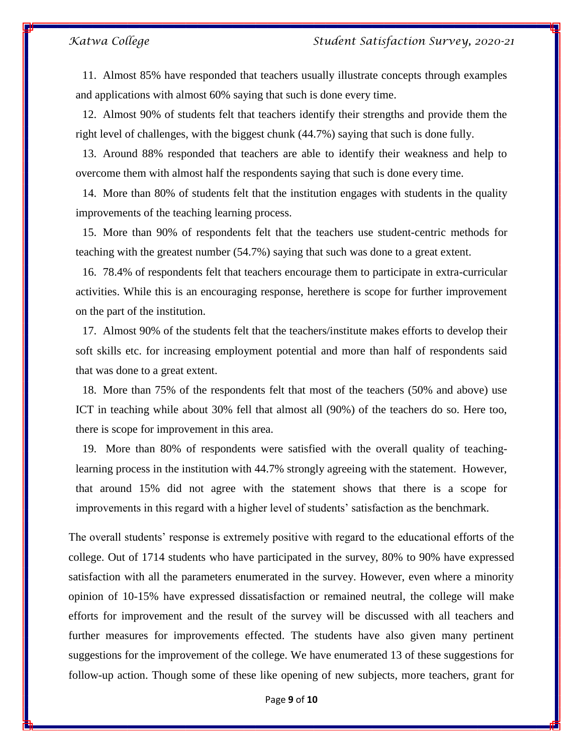11. Almost 85% have responded that teachers usually illustrate concepts through examples and applications with almost 60% saying that such is done every time.

12. Almost 90% of students felt that teachers identify their strengths and provide them the right level of challenges, with the biggest chunk (44.7%) saying that such is done fully.

13. Around 88% responded that teachers are able to identify their weakness and help to overcome them with almost half the respondents saying that such is done every time.

14. More than 80% of students felt that the institution engages with students in the quality improvements of the teaching learning process.

15. More than 90% of respondents felt that the teachers use student-centric methods for teaching with the greatest number (54.7%) saying that such was done to a great extent.

16. 78.4% of respondents felt that teachers encourage them to participate in extra-curricular activities. While this is an encouraging response, herethere is scope for further improvement on the part of the institution.

17. Almost 90% of the students felt that the teachers/institute makes efforts to develop their soft skills etc. for increasing employment potential and more than half of respondents said that was done to a great extent.

18. More than 75% of the respondents felt that most of the teachers (50% and above) use ICT in teaching while about 30% fell that almost all (90%) of the teachers do so. Here too, there is scope for improvement in this area.

19. More than 80% of respondents were satisfied with the overall quality of teachinglearning process in the institution with 44.7% strongly agreeing with the statement. However, that around 15% did not agree with the statement shows that there is a scope for improvements in this regard with a higher level of students' satisfaction as the benchmark.

The overall students' response is extremely positive with regard to the educational efforts of the college. Out of 1714 students who have participated in the survey, 80% to 90% have expressed satisfaction with all the parameters enumerated in the survey. However, even where a minority opinion of 10-15% have expressed dissatisfaction or remained neutral, the college will make efforts for improvement and the result of the survey will be discussed with all teachers and further measures for improvements effected. The students have also given many pertinent suggestions for the improvement of the college. We have enumerated 13 of these suggestions for follow-up action. Though some of these like opening of new subjects, more teachers, grant for